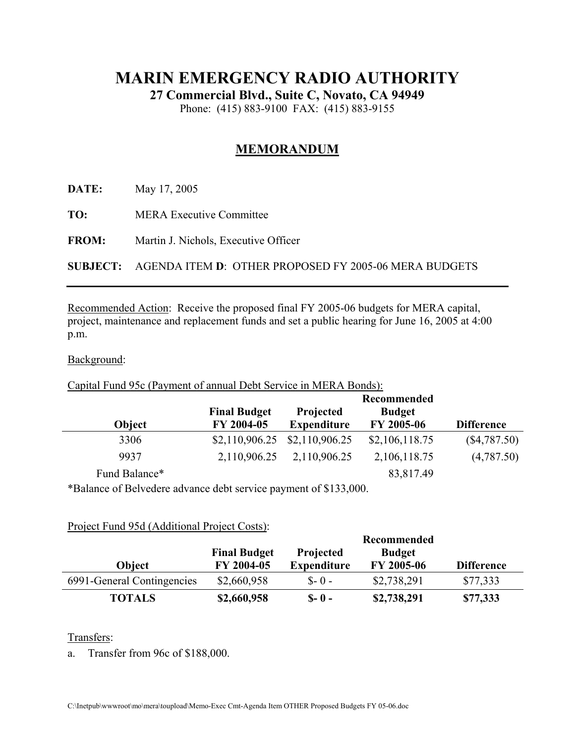# **MARIN EMERGENCY RADIO AUTHORITY**

**27 Commercial Blvd., Suite C, Novato, CA 94949** 

Phone: (415) 883-9100 FAX: (415) 883-9155

## **MEMORANDUM**

**DATE:** May 17, 2005

**TO:** MERA Executive Committee

**FROM:** Martin J. Nichols, Executive Officer

**SUBJECT:** AGENDA ITEM **D**: OTHER PROPOSED FY 2005-06 MERA BUDGETS

Recommended Action: Receive the proposed final FY 2005-06 budgets for MERA capital, project, maintenance and replacement funds and set a public hearing for June 16, 2005 at 4:00 p.m.

#### Background:

### Capital Fund 95c (Payment of annual Debt Service in MERA Bonds):

|               |                                   | Recommended                            |                             |                   |
|---------------|-----------------------------------|----------------------------------------|-----------------------------|-------------------|
| Object        | <b>Final Budget</b><br>FY 2004-05 | <b>Projected</b><br><b>Expenditure</b> | <b>Budget</b><br>FY 2005-06 | <b>Difference</b> |
| 3306          | \$2,110,906.25                    | \$2,110,906.25                         | \$2,106,118.75              | (\$4,787.50)      |
| 9937          | 2,110,906.25                      | 2,110,906.25                           | 2,106,118.75                | (4,787.50)        |
| Fund Balance* |                                   |                                        | 83,817.49                   |                   |

\*Balance of Belvedere advance debt service payment of \$133,000.

#### Project Fund 95d (Additional Project Costs):

|                            |                     | Recommended        |               |                   |
|----------------------------|---------------------|--------------------|---------------|-------------------|
|                            | <b>Final Budget</b> | <b>Projected</b>   | <b>Budget</b> |                   |
| <b>Obiect</b>              | FY 2004-05          | <b>Expenditure</b> | FY 2005-06    | <b>Difference</b> |
| 6991-General Contingencies | \$2,660,958         | $S - 0 -$          | \$2,738,291   | \$77,333          |
| <b>TOTALS</b>              | \$2,660,958         | $S - 0 -$          | \$2,738,291   | \$77,333          |

#### Transfers:

a. Transfer from 96c of \$188,000.